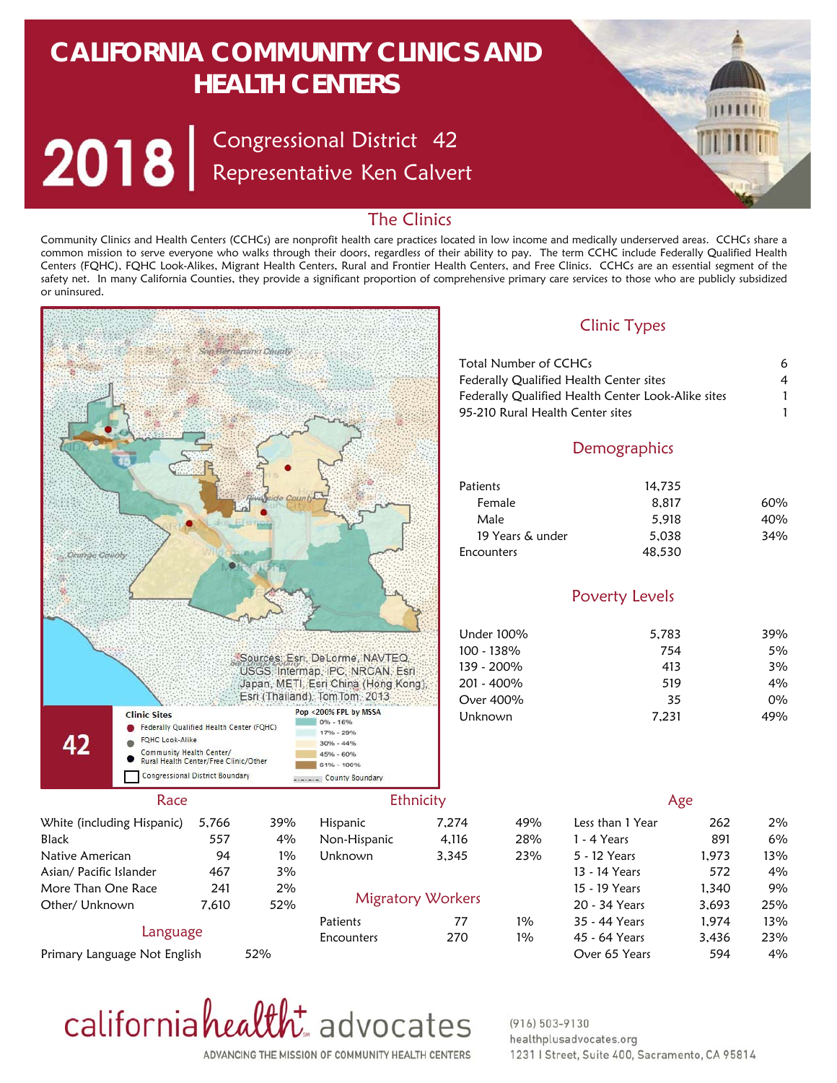# **CALIFORNIA COMMUNITY CLINICS AND HEALTH CENTERS**

Congressional District Representative Ken Calvert 42

# The Clinics

Community Clinics and Health Centers (CCHCs) are nonprofit health care practices located in low income and medically underserved areas. CCHCs share a common mission to serve everyone who walks through their doors, regardless of their ability to pay. The term CCHC include Federally Qualified Health Centers (FQHC), FQHC Look-Alikes, Migrant Health Centers, Rural and Frontier Health Centers, and Free Clinics. CCHCs are an essential segment of the safety net. In many California Counties, they provide a significant proportion of comprehensive primary care services to those who are publicly subsidized or uninsured.





### $(916) 503 - 9130$ healthplusadvocates.org 1231 | Street, Suite 400, Sacramento, CA 95814

ADVANCING THE MISSION OF COMMUNITY HEALTH CENTERS